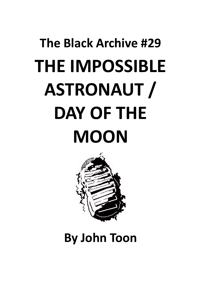# **The Black Archive #29 THE IMPOSSIBLE ASTRONAUT / DAY OF THE MOON**



**By John Toon**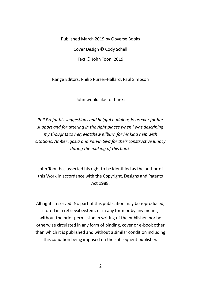Published March 2019 by Obverse Books Cover Design © Cody Schell Text © John Toon, 2019

Range Editors: Philip Purser-Hallard, Paul Simpson

John would like to thank:

*Phil PH for his suggestions and helpful nudging; Jo as ever for her support and for tittering in the right places when I was describing my thoughts to her; Matthew Kilburn for his kind help with citations; Amber Igasia and Parvin Siva for their constructive lunacy during the making of this book.*

John Toon has asserted his right to be identified as the author of this Work in accordance with the Copyright, Designs and Patents Act 1988.

All rights reserved. No part of this publication may be reproduced, stored in a retrieval system, or in any form or by any means, without the prior permission in writing of the publisher, nor be otherwise circulated in any form of binding, cover or e-book other than which it is published and without a similar condition including this condition being imposed on the subsequent publisher.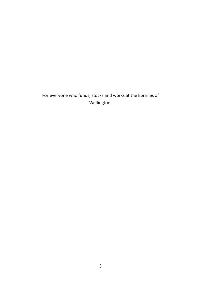For everyone who funds, stocks and works at the libraries of Wellington.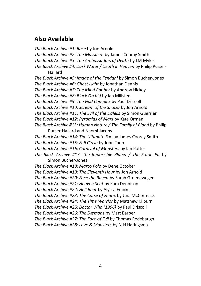### **Also Available**

*The Black Archive #1: Rose* by Jon Arnold *The Black Archive #2: The Massacre* by James Cooray Smith *The Black Archive #3: The Ambassadors of Death* by LM Myles *The Black Archive #4: Dark Water / Death in Heaven* by Philip Purser-Hallard *The Black Archive #5: Image of the Fendahl* by Simon Bucher-Jones *The Black Archive #6: Ghost Light* by Jonathan Dennis *The Black Archive #7: The Mind Robber* by Andrew Hickey *The Black Archive #8: Black Orchid* by Ian Millsted *The Black Archive #9: The God Complex* by Paul Driscoll *The Black Archive #10: Scream of the Shalka* by Jon Arnold *The Black Archive #11: The Evil of the Daleks* by Simon Guerrier *The Black Archive #12: Pyramids of Mars* by Kate Orman *The Black Archive #13: Human Nature / The Family of Blood* by Philip Purser-Hallard and Naomi Jacobs *The Black Archive #14: The Ultimate Foe* by James Cooray Smith *The Black Archive #15: Full Circle* by John Toon *The Black Archive #16: Carnival of Monsters* by Ian Potter *The Black Archive #17: The Impossible Planet / The Satan Pit* by Simon Bucher-Jones *The Black Archive #18: Marco Polo* by Dene October *The Black Archive #19: The Eleventh Hour* by Jon Arnold *The Black Archive #20: Face the Raven* by Sarah Groenewegen *The Black Archive #21: Heaven Sent* by Kara Dennison *The Black Archive #22: Hell Bent* by Alyssa Franke *The Black Archive #23: The Curse of Fenric* by Una McCormack *The Black Archive #24: The Time Warrior* by Matthew Kilburn *The Black Archive #25: Doctor Who (1996)* by Paul Driscoll *The Black Archive #26: The Dæmons* by Matt Barber *The Black Archive #27: The Face of Evil* by Thomas Rodebaugh *The Black Archive #28: Love & Monsters* by Niki Haringsma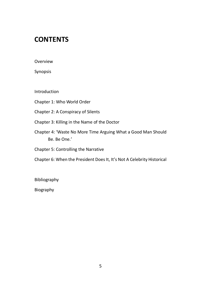## **CONTENTS**

Overview

Synopsis

Introduction

Chapter 1: Who World Order

Chapter 2: A Conspiracy of Silents

Chapter 3: Killing in the Name of the Doctor

Chapter 4: 'Waste No More Time Arguing What a Good Man Should Be. Be One.'

Chapter 5: Controlling the Narrative

Chapter 6: When the President Does It, It's Not A Celebrity Historical

Bibliography

Biography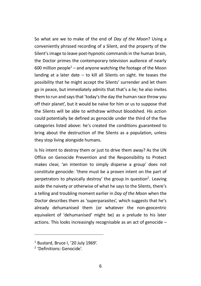So what are we to make of the end of *Day of the Moon*? Using a conveniently phrased recording of a Silent, and the property of the Silent's image to leave post-hypnotic commands in the human brain, the Doctor primes the contemporary television audience of nearly 600 million people<sup>1</sup> – and anyone watching the footage of the Moon landing at a later date – to kill all Silents on sight. He teases the possibility that he might accept the Silents' surrender and let them go in peace, but immediately admits that that's a lie; he also invites them to run and says that 'today's the day the human race throw you off their planet', but it would be naïve for him or us to suppose that the Silents will be able to withdraw without bloodshed. His action could potentially be defined as genocide under the third of the five categories listed above: he's created the conditions guaranteed to bring about the destruction of the Silents as a population, unless they stop living alongside humans.

Is his intent to destroy them or just to drive them away? As the UN Office on Genocide Prevention and the Responsibility to Protect makes clear, 'an intention to simply disperse a group' does not constitute genocide: 'there must be a proven intent on the part of perpetrators to physically destroy' the group in question<sup>2</sup>. Leaving aside the naivety or otherwise of what he says to the Silents, there's a telling and troubling moment earlier in *Day of the Moon* when the Doctor describes them as 'superparasites', which suggests that he's already dehumanised them (or whatever the non-geocentric equivalent of 'dehumanised' might be) as a prelude to his later actions. This looks increasingly recognisable as an act of genocide –

-

<sup>1</sup> Bustard, Bruce I, '20 July 1969'.

<sup>2</sup> 'Definitions: Genocide'.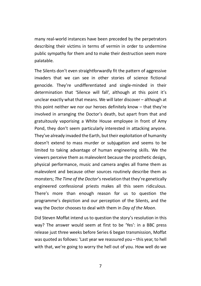many real-world instances have been preceded by the perpetrators describing their victims in terms of vermin in order to undermine public sympathy for them and to make their destruction seem more palatable.

The Silents don't even straightforwardly fit the pattern of aggressive invaders that we can see in other stories of science fictional genocide. They're undifferentiated and single-minded in their determination that 'Silence will fall', although at this point it's unclear exactly what that means. We will later discover – although at this point neither we nor our heroes definitely know – that they're involved in arranging the Doctor's death, but apart from that and gratuitously vaporising a White House employee in front of Amy Pond, they don't seem particularly interested in attacking anyone. They've already invaded the Earth, but their exploitation of humanity doesn't extend to mass murder or subjugation and seems to be limited to taking advantage of human engineering skills. We the viewers perceive them as malevolent because the prosthetic design, physical performance, music and camera angles all frame them as malevolent and because other sources routinely describe them as monsters; *The Time of the Doctor's* revelation that they're genetically engineered confessional priests makes all this seem ridiculous. There's more than enough reason for us to question the programme's depiction and our perception of the Silents, and the way the Doctor chooses to deal with them in *Day of the Moon*.

Did Steven Moffat intend us to question the story's resolution in this way? The answer would seem at first to be 'Yes': in a BBC press release just three weeks before Series 6 began transmission, Moffat was quoted as follows: 'Last year we reassured you – this year, to hell with that, we're going to worry the hell out of you. How well do we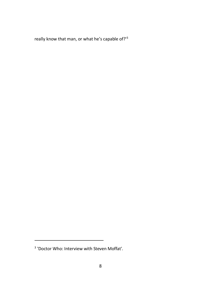really know that man, or what he's capable of?'<sup>3</sup>

-

<sup>3</sup> 'Doctor Who: Interview with Steven Moffat'.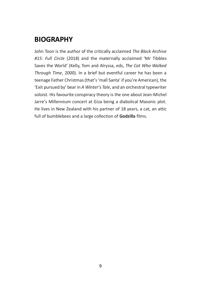## **BIOGRAPHY**

John Toon is the author of the critically acclaimed *The Black Archive #15: Full Circle* (2018) and the maternally acclaimed 'Mr Tibbles Saves the World' (Kelly, Tom and Alryssa, eds, *The Cat Who Walked Through Time*, 2000). In a brief but eventful career he has been a teenage Father Christmas (that's 'mall Santa' if you're American), the 'Exit pursued by' bear in *A Winter's Tale*, and an orchestral typewriter soloist. His favourite conspiracy theory is the one about Jean-Michel Jarre's Millennium concert at Giza being a diabolical Masonic plot. He lives in New Zealand with his partner of 18 years, a cat, an attic full of bumblebees and a large collection of **Godzilla** films.